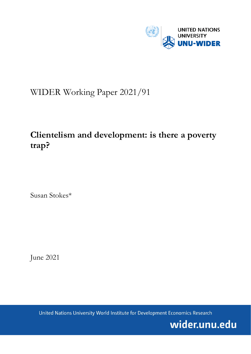

# WIDER Working Paper 2021/91

## **Clientelism and development: is there a poverty trap?**

Susan Stokes\*

June 2021

United Nations University World Institute for Development Economics Research

wider.unu.edu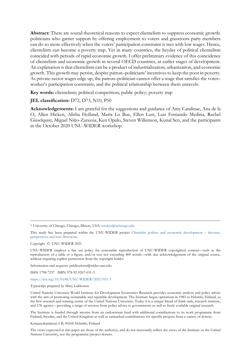**Abstract:** There are sound theoretical reasons to expect clientelism to suppress economic growth: politicians who garner support by offering employment to voters and grassroots party members can do so more effectively when the voters' participation constraint is met with low wages. Hence, clientelism can become a poverty trap. Yet in many countries, the heyday of political clientelism coincided with periods of rapid economic growth. I offer preliminary evidence of this coincidence of clientelism and economic growth in several OECD countries, at earlier stages of development. An explanation is that clientelism can be a product of industrialization, urbanization, and economic growth. This growth may persist, despite patron–politicians' incentives to keep the poor in poverty. As private-sector wages edge up, the patron–politician cannot offer a wage that satisfies the voter– worker's participation constraint, and the political relationship between them unravels.

**Key words:** clientelism; political competition; public policy; poverty trap

#### **JEL classification:** D72, D73, N10, P50

**Acknowledgements:** I am grateful for the suggestions and guidance of Amy Catalinac, Ana de la O, Allen Hicken, Alisha Holland, María Lo Bue, Ellen Lust, Luis Fernando Medina, Rachel Gisselquist, Miguel Niño-Zarazúa, Ken Opalo, Steven Wilkinson, Kunal Sen, and the participants in the October 2020 UNU-WIDER workshop.

Copyright © UNU-WIDER 2021

Information and requests: publications@wider.unu.edu

ISSN 1798-7237 ISBN 978-92-9267-031-3

<https://doi.org/10.35188/UNU-WIDER/2021/031-3>

Typescript prepared by Mary Lukkonen.

The Institute is funded through income from an endowment fund with additional contributions to its work programme from Finland, Sweden, and the United Kingdom as well as earmarked contributions for specific projects from a variety of donors.

Katajanokanlaituri 6 B, 00160 Helsinki, Finland

The views expressed in this paper are those of the author(s), and do not necessarily reflect the views of the Institute or the United Nations University, nor the programme/project donors.

<sup>\*</sup> University of Chicago, Chicago, Illinois, USA; [sstokes@uchicago.edu](mailto:sstokes@uchicago.edu)

This study has been prepared within the UNU-WIDER project [Clientelist politics and economic development –](https://www.wider.unu.edu/node/237043) theories, [perspectives and new directions.](https://www.wider.unu.edu/node/237043)

UNU-WIDER employs a fair use policy for reasonable reproduction of UNU-WIDER copyrighted content—such as the reproduction of a table or a figure, and/or text not exceeding 400 words—with due acknowledgement of the original source, without requiring explicit permission from the copyright holder.

United Nations University World Institute for Development Economics Research provides economic analysis and policy advice with the aim of promoting sustainable and equitable development. The Institute began operations in 1985 in Helsinki, Finland, as the first research and training centre of the United Nations University. Today it is a unique blend of think tank, research institute, and UN agency—providing a range of services from policy advice to governments as well as freely available original research.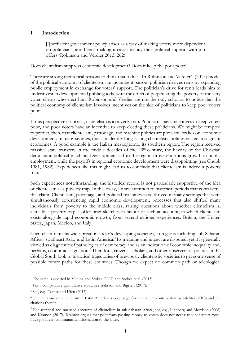#### **1 Introduction**

[I]nefficient government policy arises as a way of making voters more dependent on politicians, and hence making it easier to buy their political support with job offers (Robinson and Verdier 2013: 262).

Does clientelism suppress economic development? Does it keep the poor poor?

There are strong theoretical reasons to think that it does. In Robinson and Verdier's (2013) model of the political economy of clientelism, an incumbent patron–politician derives rents by expanding public employment in exchange for voters' support. The politician's drive for rents leads him to underinvest in developmental public goods, with the effect of perpetuating the poverty of the very voter–clients who elect him. Robinson and Verdier are not the only scholars to notice that the political economy of clientelism involves incentives on the side of politicians to keep poor voters  $poor.<sup>1</sup>$  $poor.<sup>1</sup>$  $poor.<sup>1</sup>$ 

If this perspective is correct, clientelism is a poverty trap. Politicians have incentives to keep voters poor, and poor voters have an incentive to keep electing these politicians. We might be tempted to predict, then, that clientelism, patronage, and machine politics are powerful brakes on economic development. In many settings, one can identify long-lasting clientelistic polities nested in stagnant economies. A good example is the Italian mezzogiorno, its southern region. The region received massive state transfers in the middle decades of the 20<sup>th</sup> century, the heyday of the Christian democratic political machine. Development aid to the region drove enormous growth in public employment, while the payoffs in regional economic development were disappointing (see Chubb 1981, 1982). Experiences like this might lead us to conclude that clientelism is indeed a poverty trap.

Such experiences notwithstanding, the historical record is not particularly supportive of the idea of clientelism as a poverty trap. In this essay, I draw attention to historical periods that contravene this claim. Clientelism, patronage, and political machines have thrived in many settings that were simultaneously experiencing rapid economic development, processes that also shifted many individuals from poverty to the middle class, raising questions about whether clientelism is, actually, a poverty trap. I offer brief sketches in favour of such an account, in which clientelism exists alongside rapid economic growth, from several national experiences: Britain, the United States, Japan, Mexico, and Italy.

Clientelism remains widespread in today's developing societies, in regions including sub-Saharan Africa,<sup>[2](#page-2-1)</sup> southeast Asia,<sup>[3](#page-2-2)</sup> and Latin America.<sup>4</sup> Its meaning and impact are disputed, yet it is generally viewed as diagnostic of pathologies of democracy and as an indication of economic inequality and, perhaps, economic stagnation.<sup>[5](#page-2-4)</sup> Therefore, citizens, scholars, and other observers of politics in the Global South look to historical trajectories of previously clientelistic societies to get some sense of possible future paths for these countries. Though we expect no common path or teleological

<span id="page-2-0"></span><sup>&</sup>lt;sup>1</sup> The same is asserted in Medina and Stokes (2007) and Stokes et al. (2013).

<span id="page-2-1"></span><sup>2</sup> For a comparative quantitative study, see Isaksson and Bigsten (2017).

<span id="page-2-2"></span><sup>3</sup> See, e.g., Tomsa and Ufen (2013).

<span id="page-2-3"></span><sup>4</sup> The literature on clientelism in Latin America is very large. See the recent contribution by Nichter (2018) and the citations therein.

<span id="page-2-4"></span><sup>5</sup> For sceptical and nuanced accounts of clientelism in sub-Saharan Africa, see, e.g., Lindberg and Morrison (2008) and Kramon (2017). Kramon argues that politicians passing money to voters does not necessarily constitute votebuying but can communicate information to the latter.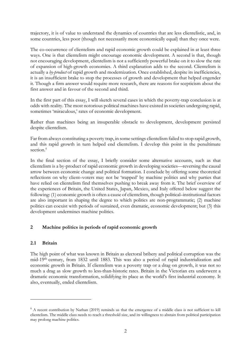trajectory, it is of value to understand the dynamics of countries that are less clientelistic, and, in some countries, less poor (though not necessarily more economically equal) than they once were.

The co-occurrence of clientelism and rapid economic growth could be explained in at least three ways. One is that clientelism might encourage economic development. A second is that, though not encouraging development, clientelism is not a sufficiently powerful brake on it to slow the rate of expansion of high-growth economies. A third explanation adds to the second. Clientelism is actually a *by-product* of rapid growth and modernization. Once established, despite its inefficiencies, it is an insufficient brake to stop the processes of growth and development that helped engender it. Though a firm answer would require more research, there are reasons for scepticism about the first answer and in favour of the second and third.

In the first part of this essay, I will sketch several cases in which the poverty-trap conclusion is at odds with reality. The most notorious political machines have existed in societies undergoing rapid, sometimes 'miraculous,' rates of economic development.

Rather than machines being an insuperable obstacle to development, development persisted despite clientelism.

Far from always constituting a poverty trap, in some settings clientelism failed to stop rapid growth, and this rapid growth in turn helped end clientelism. I develop this point in the penultimate section.<sup>[6](#page-3-0)</sup>

In the final section of the essay, I briefly consider some alternative accounts, such as that clientelism is a by-product of rapid economic growth in developing societies—reversing the causal arrow between economic change and political formation. I conclude by offering some theoretical reflections on why client–voters may not be 'trapped' by machine politics and why parties that have relied on clientelism find themselves pushing to break away from it. The brief overview of the experiences of Britain, the United States, Japan, Mexico, and Italy offered below suggest the following: (1) economic growth is often a cause of clientelism, though political–institutional factors are also important in shaping the degree to which politics are non-programmatic; (2) machine politics can coexist with periods of sustained, even dramatic, economic development; but (3) this development undermines machine politics.

## **2 Machine politics in periods of rapid economic growth**

## **2.1 Britain**

The high point of what was known in Britain as electoral bribery and political corruption was the mid-19th century, from 1832 until 1883. This was also a period of rapid industrialization and economic growth in Britain. If clientelism was a poverty trap or a drag on growth, it was not so much a drag as slow growth to less-than-historic rates. Britain in the Victorian era underwent a dramatic economic transformation, solidifying its place as the world's first industrial economy. It also, eventually, ended clientelism.

<span id="page-3-0"></span> $6$  A recent contribution by Nathan (2019) reminds us that the emergence of a middle class is not sufficient to kill clientelism. The middle class needs to reach a threshold size, and its willingness to abstain from political participation may prolong machine politics.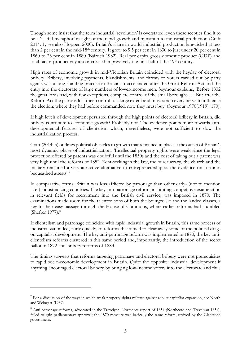Though some insist that the term industrial 'revolution' is overstated, even these sceptics find it to be a 'useful metaphor' in light of the rapid growth and transition to industrial production (Craft 2014: 1; see also Hoppen 2000). Britain's share in world industrial production languished at less than 2 per cent in the mid-18th century. It grew to 9.5 per cent in 1830 to just under 20 per cent in 1860 to 23 per cent in 1880 (Bairoch 1982). Real per capita gross domestic product (GDP) and total factor productivity also increased impressively the first half of the 19th century.

High rates of economic growth in mid-Victorian Britain coincided with the heyday of electoral bribery. Bribery, involving payments, blandishments, and threats to voters carried out by party agents was a long-standing practise in Britain. It accelerated after the Great Reform Act and the entry into the electorate of large numbers of lower-income men. Seymour explains, 'Before 1832 the great lords had, with few exceptions, complete control of the small boroughs . . . But after the Reform Act the patrons lost their control to a large extent and must strain every nerve to influence the election; where they had before commanded, now they must buy' (Seymour 1970[1919]: 170).

If high levels of development persisted through the high points of electoral bribery in Britain, did bribery contribute to economic growth? Probably not. The evidence points more towards antidevelopmental features of clientelism which, nevertheless, were not sufficient to slow the industrialization process.

Craft (2014: 3) outlines political obstacles to growth that remained in place at the outset of Britain's most dynamic phase of industrialization. 'Intellectual property rights were weak since the legal protection offered by patents was doubtful until the 1830s and the cost of taking out a patent was very high until the reforms of 1852. Rent-seeking in the law, the bureaucracy, the church and the military remained a very attractive alternative to entrepreneurship as the evidence on fortunes bequeathed attests'. [7](#page-4-0)

In comparative terms, Britain was less afflicted by patronage than other early- (not to mention late-) industrializing countries. The key anti-patronage reform, instituting competitive examination in relevant fields for recruitment into the British civil service, was imposed in 1870. The examinations made room for the talented sons of both the bourgeoisie and the landed classes, a key to their easy passage through the House of Commons, where earlier reforms had stumbled (Shefter 1977).<sup>[8](#page-4-1)</sup>

If clientelism and patronage coincided with rapid industrial growth in Britain, this same process of industrialization led, fairly quickly, to reforms that aimed to clear away some of the political drags on capitalist development. The key anti-patronage reform was implemented in 1870; the key anticlientelism reforms clustered in this same period and, importantly, the introduction of the secret ballot in 1872 anti-bribery reforms of 1883.

The timing suggests that reforms targeting patronage and electoral bribery were not prerequisites to rapid socio-economic development in Britain. Quite the opposite: industrial development if anything encouraged electoral bribery by bringing low-income voters into the electorate and thus

<span id="page-4-0"></span> $7$  For a discussion of the ways in which weak property rights militate against robust capitalist expansion, see North and Weingast (1989).

<span id="page-4-1"></span><sup>8</sup> Anti-patronage reforms, advocated in the Trevelyan–Northcote report of 1854 (Northcote and Trevelyan 1854), failed to gain parliamentary approval; the 1870 measure was basically the same reform, revived by the Gladstone government.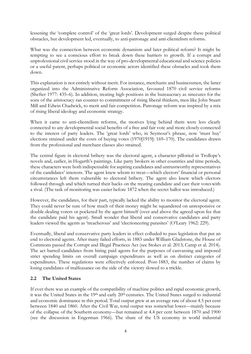lessening the 'complete control' of the 'great lords'. Development surged despite these political obstacles, but development led, eventually, to anti-patronage and anti-clientelism reforms.

What was the connection between economic dynamism and later political reform? It might be tempting to see a conscious effort to break down these barriers to growth. If a corrupt and unprofessional civil service stood in the way of pro-developmental educational and science policies or a useful patent, perhaps political or economic actors identified these obstacles and took them down.

This explanation is not entirely without merit. For instance, merchants and businessmen, the latter organized into the Administrative Reform Association, favoured 1870 civil service reforms (Shefter 1977: 435–6). In addition, treating high positions in the bureaucracy as sinecures for the sons of the aristocracy ran counter to commitment of rising liberal thinkers, men like John Stuart Mill and Edwin Chadwick, to merit and fair competition. Patronage reform was inspired by a mix of rising liberal ideology and economic strategy.

When it came to anti-clientelism reforms, the motives lying behind them were less clearly connected to any developmental social benefits of a free and fair vote and more closely connected to the interest of party leaders. The 'great lords' who, in Seymour's phrase, now 'must buy' elections strained under the costs of buying votes (1970[1919]: 169–170). The candidates drawn from the professional and merchant classes also strained.

The central figure in electoral bribery was the electoral agent, a character pilloried in Trollope's novels and, earlier, in Hogarth's paintings. Like party brokers in other countries and time periods, these characters were both indispensable for aspiring candidates and untrustworthy representatives of the candidates' interests. The agent knew whom to treat—which electors' financial or personal circumstances left them vulnerable to electoral bribery. The agent also knew which electors followed through and which turned their backs on the treating candidate and cast their voteswith a rival. (The task of monitoring was easier before 1872 when the secret ballot was introduced.)

However, the candidates, for their part, typically lacked the ability to monitor the electoral agent. They could never be sure of how much of their money might be squandered on unresponsive or double-dealing voters or pocketed by the agent himself (over and above the agreed-upon fee that the candidate paid his agent). Small wonder that liberal and conservative candidates and party leaders viewed the agents as 'treacherous' and 'electioneering parasites' (O'Leary 1962: 229).

Eventually, liberal and conservative party leaders in effect colluded to pass legislation that put an end to electoral agents. After many failed efforts, in 1883 under William Gladstone, the House of Commons passed the Corrupt and Illegal Practices Act (see Stokes et al. 2013; Camp et al. 2014). The act barred candidates from hiring paid agents for the purposes of canvassing and imposed strict spending limits on overall campaign expenditures as well as on distinct categories of expenditures. These regulations were effectively enforced. Post-1883, the number of claims by losing candidates of malfeasance on the side of the victory slowed to a trickle.

## **2.2 The United States**

If ever there was an example of the compatibility of machine politics and rapid economic growth, it was the United States in the 19th and early 20th centuries. The United States surged to industrial and economic dominance in this period. Total output grew at an average rate of about 4.5 per cent between 1840 and 1860. After the Civil War, total output was somewhat lower—mainly because of the collapse of the Southern economy—but remained at 4.4 per cent between 1870 and 1900 (see the discussion in Engerman 1966). The share of the US economy in world industrial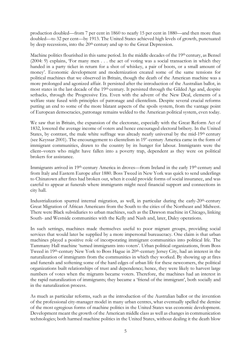production doubled—from 7 per cent in 1860 to nearly 15 per cent in 1880—and then more than doubled—to 32 per cent—by 1913. The United States achieved high levels of growth, punctuated by deep recessions, into the 20th century and up to the Great Depression.

Machine politics flourished in this same period. In the middle decades of the 19th century, as Bensel (2004: 9) explains, 'For many men . . . the act of voting was a social transaction in which they handed in a party ticket in return for a shot of whiskey, a pair of boots, or a small amount of money'. Economic development and modernization created some of the same tensions for political machines that we observed in Britain, though the death of the American machine was a more prolonged and agonized affair. It persisted after the introduction of the Australian ballot, in most states in the last decade of the 19th century. It persisted through the Gilded Age and, despite setbacks, through the Progressive Era. Even with the advent of the New Deal, elements of a welfare state fused with principles of patronage and clientelism. Despite several crucial reforms putting an end to some of the more blatant aspects of the spoils system, from the vantage point of European democracies, patronage remains welded to the American political system, even today.

We saw that in Britain, the expansion of the electorate, especially with the Great Reform Act of 1832, lowered the average income of voters and hence encouraged electoral bribery. In the United States, by contrast, the male white suffrage was already nearly universal by the mid-19<sup>th</sup> century (see Keyssar 2001). The encouragement to clientelism in 19<sup>th</sup>-century America came in the form of immigrant communities, drawn to the country by its hunger for labour. Immigrants were the client–voters who might have fallen into a poverty trap, dependent as they were on political brokers for assistance.

Immigrants arrived in 19th-century America in droves—from Ireland in the early 19th century and from Italy and Eastern Europe after 1880. Boss Tweed in New York was quick to send underlings to Chinatown after fires had broken out, when it could provide forms of social insurance, and was careful to appear at funerals where immigrants might need financial support and connections in city hall.

Industrialization spurred internal migration, as well, in particular during the early-20th-century Great Migration of African Americans from the South to the cities of the Northeast and Midwest. There were Black subsidiaries to urban machines, such as the Dawson machine in Chicago, linking South- and Westside communities with the Kelly and Nash and, later, Daley operations.

In such settings, machines made themselves useful to poor migrant groups, providing social services that would later be supplied by a more impersonal bureaucracy. One claim is that urban machines played a positive role of incorporating immigrant communities into political life. The Tammany Hall machine 'turned immigrants into voters'. Urban political organizations, from Boss Tweed in 19th-century New York to Boss Hague in 20th-century Jersey City, had an interest in the naturalization of immigrants from the communities in which they worked. By showing up at fires and funerals and softening some of the hard edges of urban life for these newcomers, the political organizations built relationships of trust and dependence; hence, they were likely to harvest large numbers of votes when the migrants became voters. Therefore, the machines had an interest in the rapid naturalization of immigrants; they became a 'friend of the immigrant', both socially and in the naturalization process.

As much as particular reforms, such as the introduction of the Australian ballot or the invention of the professional city-manager model in many urban centres, what eventually spelled the demise of the most egregious forms of machine politics in the United States was economic development. Development meant the growth of the American middle class as well as changes in communication technologies; both harmed machine politics in the United States, without dealing it the death blow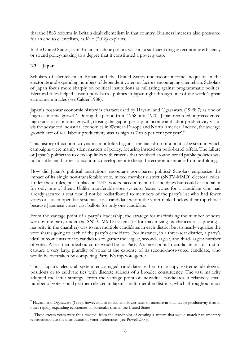that the 1883 reforms in Britain dealt clientelism in that country. Business interests also pressured for an end to clientelism, as Kuo (2018) explains.

In the United States, as in Britain, machine politics was not a sufficient drag on economic efficiency or sound policy-making to a degree that it constituted a poverty trap.

## **2.3 Japan**

Scholars of clientelism in Britain and the United States underscore income inequality in the electorate and expanding numbers of dependent voters as factors encouraging clientelism. Scholars of Japan focus more sharply on political institutions as militating against programmatic politics. Electoral rules helped sustain pork-barrel politics in Japan right through one of the world's great economic miracles (see Calder 1988).

Japan's post-war economic history is characterized by Hayami and Ogasawara (1999: 7) as one of 'high economic growth'. During the period from 1958 until 1970, 'Japan recorded unprecedented high rates of economic growth, closing the gap in per capita income and labor productivity vis-àvis the advanced industrial economies in Western Europe and North America. Indeed, the average growth rate of real labour productivity was as high as 7 to 8 per cent per year'.<sup>[9](#page-7-0)</sup>

This history of economic dynamism unfolded against the backdrop of a political system in which campaigns were mainly silent matters of policy, focusing instead on pork-barrel offers. The failure of Japan's politicians to develop links with citizens that revolved around broad public policies was not a sufficient barrier to economic development to keep the economic miracle from unfolding.

How did Japan's political institutions encourage pork-barrel politics? Scholars emphasize the impact of its single non-transferable vote, mixed member district (SNTV-MMD) electoral rules. Under these rules, put in place in 1947, voters faced a menu of candidates but could cast a ballot for only one of them. Unlike transferable-vote systems, 'extra' votes for a candidate who had already secured a seat would not be redistributed to members of the party's list who had fewer votes or—as in open-list systems—to a candidate whom the voter ranked below their top choice because Japanese voters cast ballots for only one candidate.<sup>[10](#page-7-1)</sup>

From the vantage point of a party's leadership, the strategy for maximizing the number of seats won by the party under the SNTV-MMD system (or for maximizing its chances of capturing a majority in the chamber) was to run multiple candidates in each district but to nearly equalize the vote shares going to each of the party's candidates. For instance, in a three-seat district, a party's ideal outcome was for its candidates to garner the largest, second-largest, and third-largest number of votes. A less-than-ideal outcome would be for Party A's most popular candidate in a district to capture a very large plurality of votes at the expense of its second-most-voted candidate, who would be overtaken by competing Party B's top vote-getter.

Thus, Japan's electoral system encouraged candidates either to occupy extreme ideological positions or to cultivate ties with discrete subsets of a broader constituency. The vast majority adopted the latter strategy. From the vantage point of individual candidates, a relatively small number of votes could get them elected in Japan's multi-member districts, which, throughout most

<span id="page-7-0"></span><sup>&</sup>lt;sup>9</sup> Hayami and Ogasawara (1999), however, also document slower rates of increase in total factor productivity than in other rapidly expanding economies, in particular than in the United States.

<span id="page-7-1"></span> $10$  These excess votes were thus 'wasted' from the standpoint of creating a system that would match parliamentary representation to the distribution of voter preferences (see Powell 2000).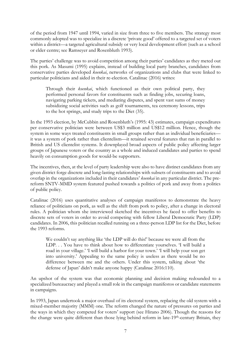of the period from 1947 until 1994, varied in size from three to five members. The strategy most commonly adopted was to specialize in a discrete 'private good' offered to a targeted set of voters within a district—a targeted agricultural subsidy or very local development effort (such as a school or elder centre; see Ramseyer and Rosenbluth 1993).

The parties' challenge was to avoid competition among their parties' candidates as they meted out this pork. As Masumi (1995) explains, instead of building local party branches, candidates from conservative parties developed *koenkai*, networks of organizations and clubs that were linked to particular politicians and aided in their re-election. Catalinac (2016) writes:

Through their *koenkai*, which functioned as their own political party, they performed personal favors for constituents such as finding jobs, securing loans, navigating parking tickets, and mediating disputes, and spent vast sums of money subsidizing social activities such as golf tournaments, tea ceremony lessons, trips to the hot springs, and study trips to the Diet (35).

In the 1993 election, by McCubbin and Rosenbluth's (1995: 43) estimates, campaign expenditures per conservative politician were between US\$3 million and US\$12 million. Hence, though the system in some ways treated constituents in small groups rather than as individual beneficiaries it was a system of pork rather than clientelism—it retained several features that ran in parallel to British and US clientelist systems. It downplayed broad aspects of public policy affecting larger groups of Japanese voters or the country as a whole and induced candidates and parties to spend heavily on consumption goods for would-be supporters.

The incentives, then, at the level of party leadership were also to have distinct candidates from any given district forge discrete and long-lasting relationships with subsets of constituents and to avoid overlap in the organizations included in their candidates' *koenkai* in any particular district. The prereform SNTV-MMD system featured pushed towards a politics of pork and away from a politics of public policy.

Catalinac (2016) uses quantitative analyses of campaign manifestos to demonstrate the heavy reliance of politicians on pork, as well as the shift from pork to policy, after a change in electoral rules. A politician whom she interviewed sketched the incentives he faced to offer benefits to discrete sets of voters in order to avoid competing with fellow Liberal Democratic Party (LDP) candidates. In 2006, this politician recalled running on a three-person LDP list for the Diet, before the 1993 reforms.

We couldn't say anything like 'the LDP will do this!' because we were all from the LDP. . . You have to think about how to differentiate yourselves. 'I will build a road in your village.' 'I will build a harbor for your town.' 'I will help your son get into university.' Appealing to the same policy is useless as there would be no difference between me and the others. Under this system, talking about 'the defense of Japan' didn't make anyone happy (Catalinac 2016:110).

An upshot of the system was that economic planning and decision making redounded to a specialized bureaucracy and played a small role in the campaign manifestos or candidate statements in campaigns.

In 1993, Japan undertook a major overhaul of its electoral system, replacing the old system with a mixed-member majority (MMM) one. The reform changed the nature of pressures on parties and the ways in which they competed for voters' support (see Hirano 2006). Though the reasons for the change were quite different than those lying behind reform in late-19th-century Britain, they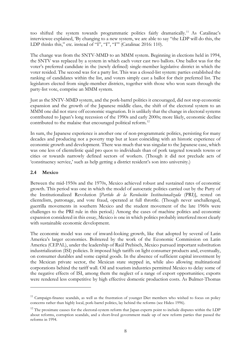too shifted the system towards programmatic politics fairly dramatically.[11](#page-9-0) As Catalinac's interviewee explained, 'By changing to a new system, we are able to say "the LDP will do this, the LDP thinks this," etc. instead of "I", "I", "I"" (Catalinac 2016: 110).

The change was from the SNTV-MMD to an MMM system. Beginning in elections held in 1994, the SNTV was replaced by a system in which each voter cast two ballots. One ballot was for the voter's preferred candidate in the (newly defined) single-member legislative district in which the voter resided. The second was for a party list. This was a closed-list system: parties established the ranking of candidates within the list, and voters simply cast a ballot for their preferred list. The legislators elected from single-member districts, together with those who won seats through the party-list vote, comprise an MMM system.

Just as the SNTV-MMD system, and the pork-barrel politics it encouraged, did not stop economic expansion and the growth of the Japanese middle class, the shift of the electoral system to an MMM one did not stave off economic stagnation. It is unlikely that the change in electoral systems contributed to Japan's long recession of the 1990s and early 2000s; more likely, economic decline contributed to the malaise that encouraged political reform.<sup>[12](#page-9-1)</sup>

In sum, the Japanese experience is another one of non-programmatic politics, persisting for many decades and producing not a poverty trap but at least coinciding with an historic experience of economic growth and development. There was much that was singular to the Japanese case, which was one less of clientelistic quid pro quos to individuals than of pork targeted towards towns or cities or towards narrowly defined sectors of workers. (Though it did not preclude acts of 'constituency service,' such as help getting a district resident's son into university.)

#### **2.4 Mexico**

Between the mid-1950s and the 1970s, Mexico achieved robust and sustained rates of economic growth. This period was one in which the model of autocratic politics carried out by the Party of the Institutionalized Revolution [*Partido de la Revolución Institucionalizada* (PRI)], rested on clientelism, patronage, and vote fraud, operated at full throttle. (Though never unchallenged, guerrilla movements in southern Mexico and the student movement of the late 1960s were challenges to the PRI rule in this period.) Among the cases of machine politics and economic expansion considered in this essay, Mexico is one in which politics probably interfered most clearly with sustainable economic development.

The economic model was one of inward-looking growth, like that adopted by several of Latin America's larger economies. Bolstered by the work of the Economic Commission on Latin America (CEPAL), under the leadership of Raúl Prebisch, Mexico pursued important substitution industrialization (ISI) policies. It imposed high tariffs on light consumer products and, eventually, on consumer durables and some capital goods. In the absence of sufficient capital investment by the Mexican private sector, the Mexican state stepped in, while also allowing multinational corporations behind the tariff wall. Oil and tourism industries permitted Mexico to delay some of the negative effects of ISI, among them the neglect of a range of export opportunities; exports were rendered less competitive by high effective domestic production costs. As Bulmer-Thomas

<span id="page-9-0"></span><sup>&</sup>lt;sup>11</sup> Campaign-finance scandals, as well as the frustration of younger Diet members who wished to focus on policy concerns rather than highly local, pork-barrel politics, lay behind the reforms (see Hideo 1996).

<span id="page-9-1"></span><sup>&</sup>lt;sup>12</sup> The proximate causes for the electoral-system reform that Japan experts point to include disputes within the LDP about reforms, corruption scandals, and a short-lived government made up of new reform parties that passed the reforms in 1994.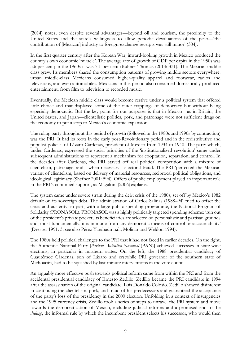(2014) notes, even despite several advantages—beyond oil and tourism, the proximity to the United States and the state's willingness to allow periodic devaluations of the peso—'the contribution of [Mexican] industry to foreign-exchange receipts was still minor' (304).

In the first quarter century after the Korean War, inward-looking growth in Mexico produced the country's own economic 'miracle'. The average rate of growth of GDP per capita in the 1950s was 5.6 per cent; in the 1960s it was 7.1 per cent (Bulmer-Thomas (2014: 331). The Mexican middle class grew. Its members shared the consumption patterns of growing middle sectors everywhere: urban middle-class Mexicans consumed higher-quality apparel and footwear, radios and televisions, and even automobiles. Mexicans in this period also consumed domestically produced entertainment, from film to television to recorded music.

Eventually, the Mexican middle class would become restive under a political system that offered little choice and that displayed some of the outer trappings of democracy but without being especially democratic. But the key point for our purposes is that in Mexico—as in Britain, the United States, and Japan—clientelistic politics, pork, and patronage were not sufficient drags on the economy to put a stop to Mexico's economic expansion.

The ruling party throughout this period of growth (followed in the 1980s and 1990s by contraction) was the PRI. It had its roots in the early post-Revolutionary period and in the redistributive and populist policies of Lázaro Cárdenas, president of Mexico from 1934 to 1940. The party which, under Cárdenas, expressed the social priorities of the 'institutionalized revolution' came under subsequent administrations to represent a mechanism for cooptation, separation, and control. In the decades after Cárdenas, the PRI staved off real political competition with a mixture of clientelism, patronage, and—when necessary—electoral fraud. The PRI 'perfected the Mexican variant of clientelism, based on delivery of material resources, reciprocal political obligations, and ideological legitimacy (Shefner 2001: 594). Offers of public employment played an important role in the PRI's continued support, as Magaloni (2006) explains.

The system came under severe strain during the debt crisis of the 1980s, set off by Mexico's 1982 default on its sovereign debt. The administration of Carlos Salinas (1988–94) tried to offset the crisis and austerity, in part, with a large public spending programme, the National Program of Solidarity (PRONASOL). PRONASOL was a highly politically targeted spending scheme: 'run out of the president's private pocket, its beneficiaries are selected on personalistic and partisan grounds and, most fundamentally, it is immune from any democratic means of control or accountability' (Dresser 1991: 3; see also Pérez Yarahaún n.d.; Molinar and Weldon 1994).

The 1980s held political challenges to the PRI that it had not faced in earlier decades. On the right, the Authentic National Party [*Partido Auténtico Nacional* (PAN)] achieved successes in state-wide elections, in particular in northern states. On the left, the 1988 presidential candidacy of Cuautémoc Cárdenas, son of Lázaro and erstwhile PRI governor of the southern state of Michoacán, had to be squashed by last-minute interventions in the vote count.

An arguably more effective push towards political reform came from within the PRI and from the accidental presidential candidacy of Ernesto Zedillo. Zedillo became the PRI candidate in 1994 after the assassination of the original candidate, Luis Donaldo Colosio. Zedillo showed disinterest in continuing the clientelism, pork, and fraud of his predecessors and guaranteed the acceptance of the party's loss of the presidency in the 2000 election. Unfolding in a context of insurgencies and the 1995 currency crisis, Zedillo took a series of steps to unravel the PRI system and move towards the democratization of Mexico, including judicial reforms and a promised end to the *dedazo*, the informal rule by which the incumbent president selects his successor, who would then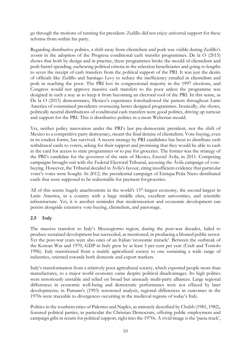go through the motions of running for president. Zedillo did not enjoy universal support for these reforms from within his party.

Regarding distributive politics, a shift away from clientelism and pork was visible during Zedillo's *sexenio* in the adoption of the Progresa conditional cash transfer programmes. De la O (2015) shows that both by design and in practise, these programmes broke the mould of clientelism and pork-barrel spending, eschewing political criteria in the selection beneficiaries and going to lengths to sever the receipt of cash transfers from the political support of the PRI. It was just the desire of officials like Zedillo and Santiago Levy to reduce the inefficiency entailed in clientelism and pork in reaching the poor. The PRI lost its congressional majority in the 1997 elections, and Congress would not approve massive cash transfers to the poor unless the programme was designed in such a way as to keep it from becoming an electoral tool of the PRI. In this sense, as De la O (2015) demonstrates, Mexico's experience foreshadowed the pattern throughout Latin America of constrained presidents overseeing better designed programmes. Ironically, she shows, politically neutral distributions of conditional cash transfers were good politics, driving up turnout and support for the PRI. This is distributive politics in a more Weberian mould.

Yet, neither policy innovation under the PRI's last pre-democratic president, nor the shift of Mexico to a competitive party democracy, meant the final demise of clientelism. Vote-buying, even in its crudest forms, has survived. A recent strategy by PRI candidates has been to distribute cash withdrawal cards to voters, asking for their support and promising that they would be able to cash in the card for access to state programmes or to pay for groceries. The former was the strategy of the PRI's candidate for the governor of the state of Mexico, Eruviel Ávila, in 2011. Competing campaigns brought suit with the Federal Electoral Tribunal, accusing the Ávila campaign of votebuying. However, the Tribunal decided in Ávila's favour, citing insufficient evidence that particular voter's votes were bought. In 2012, the presidential campaign of EnriquePeña Nieto distributed cards that were supposed to be redeemable for payment for groceries.

All of this seems hugely anachronistic in the world's 15<sup>th</sup>-largest economy, the second-largest in Latin America, in a country with a large middle class, excellent universities, and scientific infrastructure. Yet, it is another reminder that modernization and economic development can persist alongside extensive vote-buying, clientelism, and patronage.

## **2.5 Italy**

The massive transfers to Italy's Mezzogiorno region, during the post-war decades, failed to produce sustained development but succeeded, as mentioned, in producing a bloated public sector. Yet the post-war years were also ones of an Italian 'economic miracle'. Between the outbreak of the Korean War and 1970, GDP in Italy grew by at least 5 per cent per year (Craft and Toniolo 1996). Italy transitioned from a mainly agricultural society to one sustaining a wide range of industries, oriented towards both domestic and export markets.

Italy's transformation from a relatively poor agricultural society, which exported people more than manufactures, to a major world economy came despite political disadvantages. Its high politics were notoriously unstable and relied on broad but unsteady multi-party alliances. Large regional differences in economic well-being and democratic performance were not effaced by later developments; in Putnam's (1993) renowned analysis, regional differences in outcomes in the 1970s were traceable to divergences occurring in the medieval regions of today's Italy.

Politics in the southern cities of Palermo and Naples, as minutely described by Chubb (1981, 1982), featured political parties, in particular the Christian Democrats, offering public employment and campaign gifts in return for political support, right into the 1970s. A vivid image is the 'pasta truck',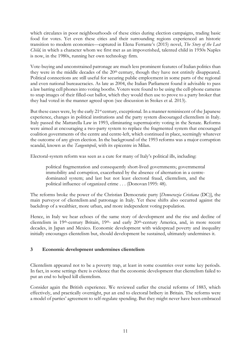which circulates in poor neighbourhoods of these cities during election campaigns, trading basic food for votes. Yet even these cities and their surrounding regions experienced an historic transition to modern economies—captured in Elena Ferrante's (2015) novel, *The Story of the Lost Child,* in which a character whom we first met as an impoverished, talented child in 1950s Naples is now, in the 1980s, running her own technology firm.

Vote-buying and unconstrained patronage are much less prominent features of Italian politics than they were in the middle decades of the 20th century, though they have not entirely disappeared. Political connections are still useful for securing public employment in some parts of the regional and even national bureaucracies. As late as 2004, the Italian Parliament found it advisable to pass a law barring cell phones into voting booths. Voters were found to be using the cell-phone cameras to snap images of their filled-out ballot, which they would then use to prove to a party broker that they had voted in the manner agreed upon (see discussion in Stokes et al. 2013).

But these cases were, by the early 21<sup>st</sup> century, exceptional. In a manner reminiscent of the Japanese experience, changes in political institutions and the party system discouraged clientelism in Italy. Italy passed the Mattarella Law in 1993, eliminating supermajority voting in the Senate. Reforms were aimed at encouraging a two-party system to replace the fragmented system that encouraged coalition governments of the centre and centre-left, which continued in place, seemingly whatever the outcome of any given election. In the background of the 1993 reforms was a major corruption scandal, known as the *Tangentopoli*, with its epicentre in Milan.

Electoral-system reform was seen as a cure for many of Italy's political ills, including:

political fragmentation and consequently short-lived governments; governmental immobility and corruption, exacerbated by the absence of alternation in a centredominated system; and last but not least electoral fraud, clientelism, and the political influence of organized crime . . . (Donovan 1995: 48).

The reforms broke the power of the Christian Democratic party [*Democrazia Cristiana* (DC)], the main purveyor of clientelism and patronage in Italy. Yet these shifts also occurred against the backdrop of a wealthier, more urban, and more independent voting population.

Hence, in Italy we hear echoes of the same story of development and the rise and decline of clientelism in 19th-century Britain, 19th- and early 20th-century America, and, in more recent decades, in Japan and Mexico. Economic development with widespread poverty and inequality initially encourages clientelism but, should development be sustained, ultimately undermines it.

## **3 Economic development undermines clientelism**

Clientelism appeared not to be a poverty trap, at least in some countries over some key periods. In fact, in some settings there is evidence that the economic development that clientelism failed to put an end to helped kill clientelism.

Consider again the British experience. We reviewed earlier the crucial reforms of 1883, which effectively, and practically overnight, put an end to electoral bribery in Britain. The reforms were a model of parties' agreement to self-regulate spending. But they might never have been embraced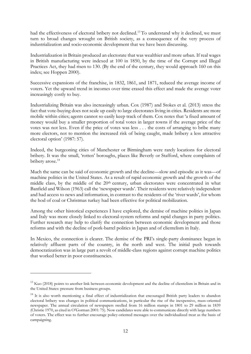had the effectiveness of electoral bribery not declined.<sup>[13](#page-13-0)</sup> To understand why it declined, we must turn to broad changes wrought on British society, as a consequence of the very process of industrialization and socio-economic development that we have been discussing.

Industrialization in Britain produced an electorate that was wealthier and more urban. If real wages in British manufacturing were indexed at 100 in 1850, by the time of the Corrupt and Illegal Practices Act, they had risen to 130. (By the end of the century, they would approach 160 on this index; see Hoppen 2000).

Successive expansions of the franchise, in 1832, 1861, and 1871, reduced the average income of voters. Yet the upward trend in incomes over time erased this effect and made the average voter increasingly costly to buy.

Industrializing Britain was also increasingly urban. Cox (1987) and Stokes et al. (2013) stress the fact that vote-buying does not scale up easily to large electorates living in cities. Residents are more mobile within cities; agents cannot so easily keep track of them. Cox notes that 'a fixed amount of money would buy a smaller proportion of total votes in larger towns if the average price of the votes was not less. Even if the price of votes was less . . . the costs of arranging to bribe many more electors, not to mention the increased risk of being caught, made bribery a less attractive electoral option' (1987: 57).

Indeed, the burgeoning cities of Manchester or Birmingham were rarely locations for electoral bribery. It was the small, 'rotten' boroughs, places like Beverly or Stafford, where complaints of bribery arose.<sup>14</sup>

Much the same can be said of economic growth and the decline—slow and episodic as it was—of machine politics in the United States. As a result of rapid economic growth and the growth of the middle class, by the middle of the 20<sup>th</sup> century, urban electorates were concentrated in what Banfield and Wilson (1963) call the 'newspaper wards'. Their residents were relatively independent and had access to news and information, in contrast to the residents of the 'river wards', for whom the hod of coal or Christmas turkey had been effective for political mobilization.

Among the other historical experiences I have explored, the demise of machine politics in Japan and Italy was more closely linked to electoral-system reforms and rapid changes in party politics. Further research may help to clarify the connection between economic development and those reforms and with the decline of pork-barrel politics in Japan and of clientelism in Italy.

In Mexico, the connection is clearer. The demise of the PRI's single-party dominance began in relatively affluent parts of the country, in the north and west. The initial push towards democratization was in large part a revolt of middle-class regions against corrupt machine politics that worked better in poor constituencies.

<span id="page-13-0"></span><sup>&</sup>lt;sup>13</sup> Kuo (2018) points to another link between economic development and the decline of clientelism in Britain and in the United States: pressure from business groups.

<span id="page-13-1"></span><sup>&</sup>lt;sup>14</sup> It is also worth mentioning a final effect of industrialization that encouraged British party leaders to abandon electoral bribery was changes in political communications, in particular the rise of the inexpensive, mass-oriented newspaper. The annual circulation of newspapers swelled from 16 million stamps in 1801 to 29 million in 1839 (Christie 1970, as cited in O'Gorman 2001: 75). Now candidates were able to communicate directly with large numbers of voters. The effect was to further encourage policy-oriented messages over the individualized treat as the basis of campaigning.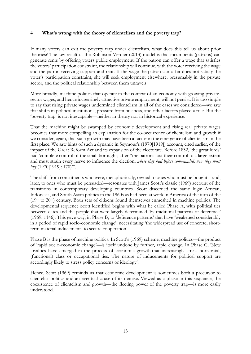#### **4 What's wrong with the theory of clientelism and the poverty trap?**

If many voters can exit the poverty trap under clientelism, what does this tell us about prior theories? The key result of the Robinson-Verdier (2013) model is that incumbents (patrons) can generate rents by offering voters public employment. If the patron can offer a wage that satisfies the voters' participation constraint, the relationship will continue, with the voter receiving the wage and the patron receiving support and rent. If the wage the patron can offer does not satisfy the voter's participation constraint, she will seek employment elsewhere, presumably in the private sector, and the political relationship between them unravels.

More broadly, machine politics that operate in the context of an economy with growing privatesector wages, and hence increasingly attractive private employment, will not persist. It is too simple to say that rising private wages undermined clientelism in all of the cases we considered—we saw that shifts in political institutions, pressure from business, and other factors played a role. But the 'poverty trap' is not inescapable—neither in theory nor in historical experience.

That the machine might be swamped by economic development and rising real private wages becomes that more compelling an explanation for the co-occurrence of clientelism and growth if we consider, again, that such growth may have been a factor in the emergence of clientelism in the first place. We saw hints of such a dynamic in Seymour's (1970[1919]) account, cited earlier, of the impact of the Great Reform Act and its expansion of the electorate. Before 1832, 'the great lords' had 'complete control of the small boroughs; after "the patrons lost their control to a large extent and must strain every nerve to influence the election; *where they had before commanded, now they must buy* (1970[1919]: 170)"'.

The shift from constituents who were, metaphorically, owned to ones who must be bought—and, later, to ones who must be persuaded—resonates with James Scott's classic (1969) account of the transitions in contemporary developing countries. Scott discerned the same logic African, Indonesia, and South Asian polities in the 1960s as had been at work in America of the turn of the  $(19<sup>th</sup>$  to  $20<sup>th</sup>$ ) century. Both sets of citizens found themselves enmeshed in machine politics. The developmental sequence Scott identified begins with what he called Phase A, with political ties between elites and the people that were largely determined 'by traditional patterns of deference' (1969: 1146). This gave way, in Phase B, to 'deference patterns' that have 'weakened considerably in a period of rapid socio-economic change', necessitating 'the widespread use of concrete, shortterm material inducements to secure cooperation'.

Phase B is the phase of machine politics. In Scott's (1969) scheme, machine politics—the product of 'rapid socio-economic change'—is itself undone by further, rapid change. In Phase C, 'New loyalties have emerged in the process of economic growth that increasingly stress horizontal, (functional) class or occupational ties. The nature of inducements for political support are accordingly likely to stress policy concerns or ideology'.

Hence, Scott (1969) reminds us that economic development is sometimes both a precursor to clientelist politics and an eventual cause of its demise. Viewed as a phase in this sequence, the coexistence of clientelism and growth—the fleeting power of the poverty trap—is more easily understood.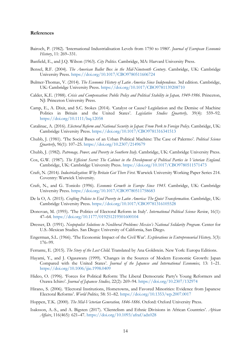#### **References**

- Bairoch, P. (1982). 'International Industrialisation Levels from 1750 to 1980'. *Journal of European Economic History*, 11: 269–331.
- Banfield, E., and J.Q. Wilson (1963). *City Politics*. Cambridge, MA: Harvard University Press.
- Bensel, R.F. (2004). *The American Ballot Box in the Mid-Nineteenth Century*. Cambridge, UK: Cambridge University Press. <https://doi.org/10.1017/CBO9780511606724>
- Bulmer-Thomas, V. (2014). *The Economic History of Latin America Since Independence*. 3rd edition. Cambridge, UK: Cambridge University Press. <https://doi.org/10.1017/CBO9781139208710>
- Calder, K.E. (1988). *Crisis and Compensation: Public Policy and Political Stability in Japan, 1949-1986*. Princeton, NJ: Princeton University Press.
- Camp, E., A. Dixit, and S.C. Stokes (2014). 'Catalyst or Cause? Legislation and the Demise of Machine Politics in Britain and the United States'. *Legislative Studies Quarterly,* 39(4): 559–92. <https://doi.org/10.1111/lsq.12058>
- Catalinac, A. (2016). *Electoral Reform and National Security in Japan: From Pork to Foreign Policy*. Cambridge, UK: Cambridge University Press. <https://doi.org/10.1017/CBO9781316341513>
- Chubb, J. (1981). 'The Social Bases of an Urban Political Machine: The Case of Palermo'. *Political Science Quarterly*, 96(1): 107–25. <https://doi.org/10.2307/2149679>
- Chubb, J. (1982). *Patronage, Power, and Poverty in Southern Italy*. Cambridge, UK: Cambridge University Press.
- Cox, G.W. (1987). *The Efficient Secret: The Cabinet in the Development of Political Parties in Victorian England*. Cambridge, UK: Cambridge University Press. <https://doi.org/10.1017/CBO9780511571473>
- Craft, N. (2014*). Industrialization: Why Britain Got There First*. Warwick University Working Paper Series 214. Coventry: Warwick University.
- Craft, N., and G. Toniolo (1996). *Economic Growth in Europe Since 1945*. Cambridge, UK: Cambridge University Press. <https://doi.org/10.1017/CBO9780511758683>
- De la O, A. (2015). *Crafting Policies to End Poverty in Latin America: The Quiet Transformation*. Cambridge, UK: Cambridge University Press. <https://doi.org/10.1017/CBO9781316105528>
- Donovan, M. (1995). 'The Politics of Electoral Reform in Italy'. *International Political Science Review*, 16(1): 47–64. <https://doi.org/10.1177/019251219501600104>
- Dresser, D. (1991). *Neopopulist Solutions to Neoliberal Problems: Mexico's National Solidarity Program*. Center for U.S.-Mexican Studies. San Diego: University of California, San Diego.
- Engerman, S.L. (1966). 'The Economic Impact of the Civil War'. *Explorations in Entrepreneurial History,* 3(3): 176–99.
- Ferrante, E. (2015). *The Story of the Lost Child*. Translated by Ana Goldstein. New York: Europa Editions.
- Hayami, Y., and J. Ogasawara (1999). 'Changes in the Sources of Modern Economic Growth: Japan Compared with the United States'. *Journal of the Japanese and International Economies,* 13: 1–21. <https://doi.org/10.1006/jjie.1998.0409>
- Hideo, O. (1996). 'Forces for Political Reform: The Liberal Democratic Party's Young Reformers and Ozawa Ichiro'. *Journal of Japanese Studies,* 22(2): 269–94. <https://doi.org/10.2307/132974>
- Hirano, S. (2006). 'Electoral Institutions, Hometowns, and Favored Minorities: Evidence from Japanese Electoral Reforms'. *World Politics,* 58: 51–82. <https://doi.org/10.1353/wp.2007.0017>
- Hoppen, T.K. (2000). *The Mid-Victorian Generation, 1846-1886*. Oxford: Oxford University Press.
- Isaksson, A.-S., and A. Bigsten (2017). 'Clientelism and Ethnic Divisions in African Countries'. *African Affairs*, 116(465): 621–47. <https://doi.org/10.1093/afraf/adx028>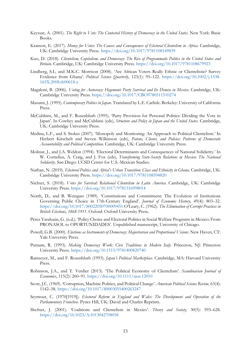- Keyssar, A. (2001). *The Right to Vote: The Contested History of Democracy in the United States*. New York: Basic Books.
- Kramon, E. (2017). *Money for Votes: The Causes and Consequences of Electoral Clientelism in Africa*. Cambridge, UK: Cambridge University Press. <https://doi.org/10.1017/9781108149839>
- Kuo, D. (2018). *Clientelism, Capitalism, and Democracy: The Rise of Programmatic Politics in the United States and Britain*. Cambridge, UK: Cambridge University Press. <https://doi.org/10.1017/9781108679923>
- Lindberg, S.I., and M.K.C. Morrison (2008). 'Are African Voters Really Ethnic or Clientelistic? Survey Evidence from Ghana'. *Political Science Quarterly*, 123(1): 95–122. [https://doi.org/10.1002/j.1538-](https://doi.org/10.1002/j.1538-165X.2008.tb00618.x) [165X.2008.tb00618.x](https://doi.org/10.1002/j.1538-165X.2008.tb00618.x)
- Magaloni, B. (2006). *Voting for Autocracy: Hegemonic Party Survival and Its Demise in Mexico*. Cambridge, UK: Cambridge University Press. <https://doi.org/10.1017/CBO9780511510274>
- Masumi, J. (1995). *Contemporary Politics in Japan*. Translated by L.E. Carlisle. Berkeley: University of California Press.
- McCubbins, M., and F. Rosenbluth (1995). 'Party Provision for Personal Politics: Dividing the Vote in Japan'. In Cowhey and McCubbins (eds), *Structure and Policy in Japan and the United States*. Cambridge, UK: Cambridge University Press.
- Medina, L.F., and S. Stokes (2007). 'Monopoly and Monitoring: An Approach to Political Clientelism.' In Herbert Kitschelt and Steven Wilkinson (eds), *Patons, Clients, and Policies: Patterns of Democratic Accountability and Political Competition*. Cambridge, UK: Cambridge University Press.
- Molinar, J., and J.A. Weldon (1994). 'Electoral Determinants and Consequences of National Solidarity.' In W. Cornelius, A. Craig, and J. Fox (eds), *Transforming State-Society Relations in Mexico: The National Solidarity*. San Diego: UCSD Center for U.S.-Mexican Studies.
- Nathan, N. (2019). *Electoral Politics and Africa's Urban Transition: Class and Ethnicity in Ghana*. Cambridge, UK: Cambridge University Press. <https://doi.org/10.1017/9781108594820>
- Nichter, S. (2018). *Votes for Survival: Relational Clientelism in Latin America*. Cambridge, UK: Cambridge University Press[. https://doi.org/10.1017/9781316998014](https://doi.org/10.1017/9781316998014)
- North, D., and B. Weingast (1989). 'Constitutions and Commitment: The Evolution of Institutions Governing Public Choice in 17th-Century England'. *Journal of Economic History,* 49(4): 803–32. <https://doi.org/10.1017/S0022050700009451> O'Leary, C. (1962). *The Elimination of Corrupt Practices in British Elections, 1868-1911*. Oxford: Oxford University Press.
- Pérez Yarahaún, G. (n.d.). 'Policy Choice and Electoral Politics in Social Welfare Programs in Mexico: From PRONASOL to OPORTUNIDADES'. Unpublished manuscript, University of Chicago.
- Powell, G.B. (2000). *Elections as Instruments of Democracy: Majoritarian and Proportional Visions*. New Haven, CT: Yale University Press.
- Putnam, R. (1993). *Making Democracy Work: Civic Traditions in Modern Italy*. Princeton, NJ: Princeton University Press. <https://doi.org/10.1515/9781400820740>
- Ramseyer, M., and F. Rosenbluth (1993). *Japan's Political Marketplace*. Cambridge, MA: Harvard University Press.
- Robinson, J.A., and T. Verdier (2013). 'The Political Economy of Clientelism'. *Scandinavian Journal of Economics*, 115(2): 260–91. <https://doi.org/10.1111/sjoe.12010>
- Scott, J.C. (1969). 'Corruption, Machine Politics, and Political Change'. *American Political Science Review,* 63(4): 1142–58. <https://doi.org/10.1017/S0003055400263247>
- Seymour, C. (1970[1919]). *Electoral Reform in England and Wales: The Development and Operation of the Parliamentary Franchise*. Pynes Hill, UK: David and Charles Reprints.
- Shefner, J. (2001). 'Coalitions and Clientelism in Mexico'. *Theory and Society,* 30(5): 593–628. <https://doi.org/10.1023/A:1013042708058>